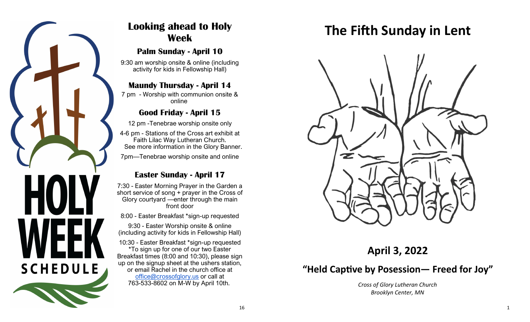

# **Looking ahead to Holy Week**

# **Palm Sunday - April 10**

9:30 am worship onsite & online (including activity for kids in Fellowship Hall)

# **Maundy Thursday - April 14**

7 pm - Worship with communion onsite & online

# **Good Friday - April 15**

12 pm -Tenebrae worship onsite only

4-6 pm - Stations of the Cross art exhibit at Faith Lilac Way Lutheran Church. See more information in the Glory Banner.

7pm—Tenebrae worship onsite and online

# **Easter Sunday - April 17**

7:30 - Easter Morning Prayer in the Garden a short service of song + prayer in the Cross of Glory courtyard —enter through the main front door

8:00 - Easter Breakfast \*sign-up requested

9:30 - Easter Worship onsite & online (including activity for kids in Fellowship Hall)

10:30 - Easter Breakfast \*sign-up requested \*To sign up for one of our two Easter Breakfast times (8:00 and 10:30), please sign up on the signup sheet at the ushers station, or email Rachel in the church office at [office@crossofglory.us](mailto:office@crossofglory.us) or call at 763-533-8602 on M-W by April 10th.

# **The Fifth Sunday in Lent**



**April 3, 2022**

# **"Held Captive by Posession— Freed for Joy"**

*Cross of Glory Lutheran Church Brooklyn Center, MN*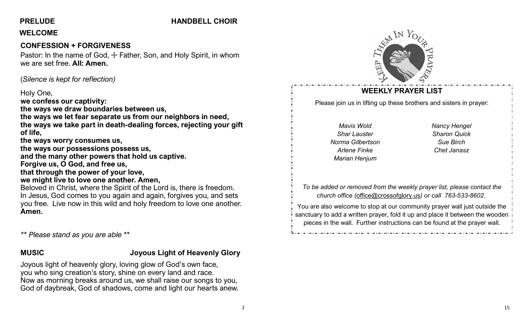# **PRELUDE HANDBELL CHOIR**

### **WELCOME**

# **CONFESSION + FORGIVENESS**

Pastor: In the name of God,  $\pm$  Father, Son, and Holy Spirit, in whom we are set free. **All: Amen.**

(*Silence is kept for reflection)*

#### Holy One,

**we confess our captivity: the ways we draw boundaries between us, the ways we let fear separate us from our neighbors in need, the ways we take part in death-dealing forces, rejecting your gift of life, the ways worry consumes us, the ways our possessions possess us, and the many other powers that hold us captive. Forgive us, O God, and free us, that through the power of your love, we might live to love one another. Amen,** Beloved in Christ, where the Spirit of the Lord is, there is freedom. In Jesus, God comes to you again and again, forgives you, and sets you free.Live now in this wild and holy freedom to love one another. **Amen.**

*\*\* Please stand as you are able \*\**

# **MUSIC Joyous Light of Heavenly Glory**

Joyous light of heavenly glory, loving glow of God's own face, you who sing creation's story, shine on every land and race. Now as morning breaks around us, we shall raise our songs to you, God of daybreak, God of shadows, come and light our hearts anew.



# **WEEKLY PRAYER LIST**

Please join us in lifting up these brothers and sisters in prayer:

*Mavis Wold Shar Lauster Norma Gilbertson Arlene Finke Marian Henjum*

*Nancy Hengel Sharon Quick Sue Birch Chet Janasz*

*To be added or removed from the weekly prayer list, please contact the church office (*[office@crossofglory.us](mailto:office@crossofglory.us)*) or call 763-533-8602.*

You are also welcome to stop at our community prayer wall just outside the sanctuary to add a written prayer, fold it up and place it between the wooden pieces in the wall. Further instructions can be found at the prayer wall.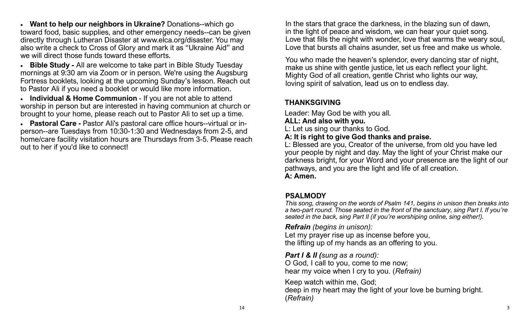• **Want to help our neighbors in Ukraine?** Donations--which go toward food, basic supplies, and other emergency needs--can be given directly through Lutheran Disaster at www.elca.org/disaster. You may also write a check to Cross of Glory and mark it as "Ukraine Aid" and we will direct those funds toward these efforts.

• **Bible Study -** All are welcome to take part in Bible Study Tuesday mornings at 9:30 am via Zoom or in person. We're using the Augsburg Fortress booklets, looking at the upcoming Sunday's lesson. Reach out to Pastor Ali if you need a booklet or would like more information.

• **Individual & Home Communion** - If you are not able to attend worship in person but are interested in having communion at church or brought to your home, please reach out to Pastor Ali to set up a time.

• **Pastoral Care -** Pastor Ali's pastoral care office hours--virtual or inperson--are Tuesdays from 10:30-1:30 and Wednesdays from 2-5, and home/care facility visitation hours are Thursdays from 3-5. Please reach out to her if you'd like to connect!

In the stars that grace the darkness, in the blazing sun of dawn, in the light of peace and wisdom, we can hear your quiet song. Love that fills the night with wonder, love that warms the weary soul, Love that bursts all chains asunder, set us free and make us whole.

You who made the heaven's splendor, every dancing star of night, make us shine with gentle justice, let us each reflect your light. Mighty God of all creation, gentle Christ who lights our way, loving spirit of salvation, lead us on to endless day.

# **THANKSGIVING**

Leader: May God be with you all.

### **ALL: And also with you.**

- L: Let us sing our thanks to God.
- **A: It is right to give God thanks and praise.**

L: Blessed are you, Creator of the universe, from old you have led your people by night and day. May the light of your Christ make our darkness bright, for your Word and your presence are the light of our pathways, and you are the light and life of all creation. **A: Amen.**

# **PSALMODY**

*This song, drawing on the words of Psalm 141, begins in unison then breaks into a two-part round. Those seated in the front of the sanctuary, sing Part I. If you're seated in the back, sing Part II (if you're worshiping online, sing either!).*

*Refrain (begins in unison):*

Let my prayer rise up as incense before you, the lifting up of my hands as an offering to you.

*Part I & II (sung as a round):* 

O God, I call to you, come to me now; hear my voice when I cry to you. (*Refrain)*

Keep watch within me, God; deep in my heart may the light of your love be burning bright. (*Refrain)*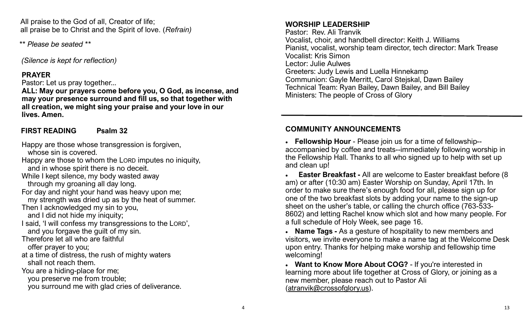All praise to the God of all, Creator of life; all praise be to Christ and the Spirit of love. (*Refrain)*

*\*\* Please be seated \*\**

*(Silence is kept for reflection)*

# **PRAYER**

Pastor: Let us pray together...

**ALL: May our prayers come before you, O God, as incense, and may your presence surround and fill us, so that together with all creation, we might sing your praise and your love in our lives. Amen.**

# **FIRST READING Psalm 32**

Happy are those whose transgression is forgiven, whose sin is covered. Happy are those to whom the LORD imputes no iniquity,

and in whose spirit there is no deceit.

While I kept silence, my body wasted away

through my groaning all day long.

For day and night your hand was heavy upon me;

my strength was dried up as by the heat of summer.

Then I acknowledged my sin to you,

and I did not hide my iniquity;

I said, 'I will confess my transgressions to the LORD',

and you forgave the guilt of my sin.

Therefore let all who are faithful

offer prayer to you;

at a time of distress, the rush of mighty waters shall not reach them.

You are a hiding-place for me;

you preserve me from trouble;

you surround me with glad cries of deliverance.

# **WORSHIP LEADERSHIP**

Pastor: Rev. Ali Tranvik Vocalist, choir, and handbell director: Keith J. Williams Pianist, vocalist, worship team director, tech director: Mark Trease Vocalist: Kris Simon Lector: Julie Aulwes Greeters: Judy Lewis and Luella Hinnekamp Communion: Gayle Merritt, Carol Stejskal, Dawn Bailey Technical Team: Ryan Bailey, Dawn Bailey, and Bill Bailey Ministers: The people of Cross of Glory

# **COMMUNITY ANNOUNCEMENTS**

• **Fellowship Hour** - Please join us for a time of fellowship- accompanied by coffee and treats--immediately following worship in the Fellowship Hall. Thanks to all who signed up to help with set up and clean up!

• **Easter Breakfast -** All are welcome to Easter breakfast before (8 am) or after (10:30 am) Easter Worship on Sunday, April 17th. In order to make sure there's enough food for all, please sign up for one of the two breakfast slots by adding your name to the sign-up sheet on the usher's table, or calling the church office (763-533- 8602) and letting Rachel know which slot and how many people. For a full schedule of Holy Week, see page 16.

• **Name Tags -** As a gesture of hospitality to new members and visitors, we invite everyone to make a name tag at the Welcome Desk upon entry. Thanks for helping make worship and fellowship time welcoming!

• **Want to Know More About COG?** - If you're interested in learning more about life together at Cross of Glory, or joining as a new member, please reach out to Pastor Ali ([atranvik@crossofglory.us\)](mailto:atranvik@crossofglory.us).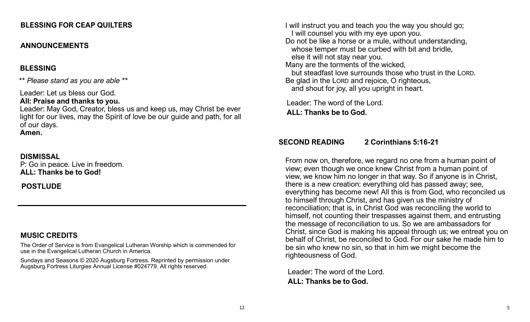#### **BLESSING FOR CEAP QUILTERS**

#### **ANNOUNCEMENTS**

#### **BLESSING**

*\*\* Please stand as you are able \*\**

Leader: Let us bless our God.

#### **All: Praise and thanks to you.**

Leader: May God, Creator, bless us and keep us, may Christ be ever light for our lives, may the Spirit of love be our guide and path, for all of our days. **Amen.**

#### **DISMISSAL**

P: Go in peace. Live in freedom. **ALL: Thanks be to God!**

**POSTLUDE**

# **MUSIC CREDITS**

The Order of Service is from Evangelical Lutheran Worship which is commended for use in the Evangelical Lutheran Church in America.

Sundays and Seasons © 2020 Augsburg Fortress. Reprinted by permission under Augsburg Fortress Liturgies Annual License #024779. All rights reserved.

I will instruct you and teach you the way you should go; I will counsel you with my eye upon you. Do not be like a horse or a mule, without understanding, whose temper must be curbed with bit and bridle, else it will not stay near you. Many are the torments of the wicked, but steadfast love surrounds those who trust in the LORD. Be glad in the LORD and rejoice, O righteous, and shout for joy, all you upright in heart.

Leader: The word of the Lord. **ALL: Thanks be to God.**

#### **SECOND READING 2 Corinthians 5:16-21**

From now on, therefore, we regard no one from a human point of view; even though we once knew Christ from a human point of view, we know him no longer in that way. So if anyone is in Christ, there is a new creation: everything old has passed away; see, everything has become new! All this is from God, who reconciled us to himself through Christ, and has given us the ministry of reconciliation; that is, in Christ God was reconciling the world to himself, not counting their trespasses against them, and entrusting the message of reconciliation to us. So we are ambassadors for Christ, since God is making his appeal through us; we entreat you on behalf of Christ, be reconciled to God. For our sake he made him to be sin who knew no sin, so that in him we might become the righteousness of God.

Leader: The word of the Lord. **ALL: Thanks be to God.**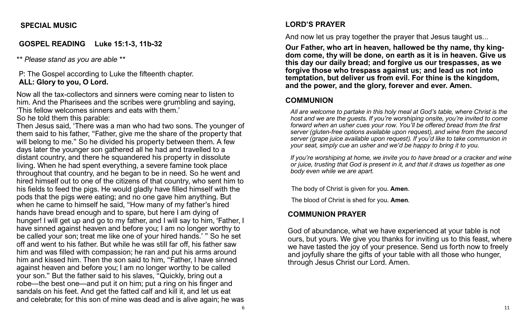### **SPECIAL MUSIC**

# **GOSPEL READING Luke 15:1-3, 11b-32**

*\*\* Please stand as you are able \*\**

P: The Gospel according to Luke the fifteenth chapter. **ALL: Glory to you, O Lord.**

Now all the tax-collectors and sinners were coming near to listen to him. And the Pharisees and the scribes were grumbling and saying, 'This fellow welcomes sinners and eats with them.'

So he told them this parable:

Then Jesus said, 'There was a man who had two sons. The younger of them said to his father, "Father, give me the share of the property that will belong to me." So he divided his property between them. A few days later the younger son gathered all he had and travelled to a distant country, and there he squandered his property in dissolute living. When he had spent everything, a severe famine took place throughout that country, and he began to be in need. So he went and hired himself out to one of the citizens of that country, who sent him to his fields to feed the pigs. He would gladly have filled himself with the pods that the pigs were eating; and no one gave him anything. But when he came to himself he said, "How many of my father's hired hands have bread enough and to spare, but here I am dying of hunger! I will get up and go to my father, and I will say to him, 'Father, I have sinned against heaven and before you; I am no longer worthy to be called your son; treat me like one of your hired hands.' " So he set off and went to his father. But while he was still far off, his father saw him and was filled with compassion; he ran and put his arms around him and kissed him. Then the son said to him, "Father, I have sinned against heaven and before you; I am no longer worthy to be called your son." But the father said to his slaves, "Quickly, bring out a robe—the best one—and put it on him; put a ring on his finger and sandals on his feet. And get the fatted calf and kill it, and let us eat and celebrate; for this son of mine was dead and is alive again; he was

# **LORD'S PRAYER**

And now let us pray together the prayer that Jesus taught us...

**Our Father, who art in heaven, hallowed be thy name, thy kingdom come, thy will be done, on earth as it is in heaven. Give us this day our daily bread; and forgive us our trespasses, as we forgive those who trespass against us; and lead us not into temptation, but deliver us from evil. For thine is the kingdom, and the power, and the glory, forever and ever. Amen.**

#### **COMMUNION**

*All are welcome to partake in this holy meal at God's table, where Christ is the host and we are the guests. If you're worshiping onsite, you're invited to come forward when an usher cues your row. You'll be offered bread from the first server (gluten-free options available upon request), and wine from the second server (grape juice available upon request). If you'd like to take communion in your seat, simply cue an usher and we'd be happy to bring it to you.*

*If you're worshiping at home, we invite you to have bread or a cracker and wine or juice, trusting that God is present in it, and that it draws us together as one body even while we are apart.*

The body of Christ is given for you. **Amen**.

The blood of Christ is shed for you. **Amen**.

# **COMMUNION PRAYER**

God of abundance, what we have experienced at your table is not ours, but yours. We give you thanks for inviting us to this feast, where we have tasted the joy of your presence. Send us forth now to freely and joyfully share the gifts of your table with all those who hunger, through Jesus Christ our Lord. Amen.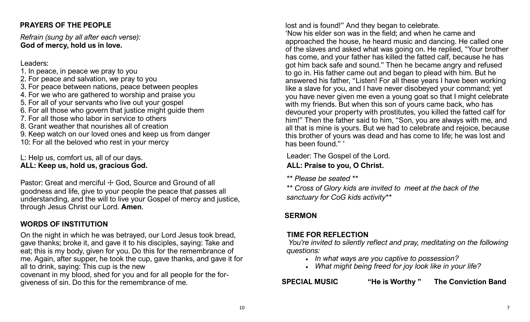# **PRAYERS OF THE PEOPLE**

*Refrain (sung by all after each verse):* **God of mercy, hold us in love.**

Leaders:

- 1. In peace, in peace we pray to you
- 2. For peace and salvation, we pray to you
- 3. For peace between nations, peace between peoples
- 4. For we who are gathered to worship and praise you
- 5. For all of your servants who live out your gospel
- 6. For all those who govern that justice might guide them
- 7. For all those who labor in service to others
- 8. Grant weather that nourishes all of creation
- 9. Keep watch on our loved ones and keep us from danger
- 10: For all the beloved who rest in your mercy

L: Help us, comfort us, all of our days. **ALL: Keep us, hold us, gracious God.**

Pastor: Great and merciful  $+$  God, Source and Ground of all goodness and life, give to your people the peace that passes all understanding, and the will to live your Gospel of mercy and justice, through Jesus Christ our Lord. **Amen**.

# **WORDS OF INSTITUTION**

On the night in which he was betrayed, our Lord Jesus took bread, gave thanks; broke it, and gave it to his disciples, saying: Take and eat; this is my body, given for you. Do this for the remembrance of me. Again, after supper, he took the cup, gave thanks, and gave it for all to drink, saying: This cup is the new

covenant in my blood, shed for you and for all people for the forgiveness of sin. Do this for the remembrance of me.

lost and is found!" And they began to celebrate.

'Now his elder son was in the field; and when he came and approached the house, he heard music and dancing. He called one of the slaves and asked what was going on. He replied, "Your brother has come, and your father has killed the fatted calf, because he has got him back safe and sound." Then he became angry and refused to go in. His father came out and began to plead with him. But he answered his father, "Listen! For all these years I have been working like a slave for you, and I have never disobeyed your command; yet you have never given me even a young goat so that I might celebrate with my friends. But when this son of yours came back, who has devoured your property with prostitutes, you killed the fatted calf for him!" Then the father said to him, "Son, you are always with me, and all that is mine is yours. But we had to celebrate and rejoice, because this brother of yours was dead and has come to life; he was lost and has been found." '

Leader: The Gospel of the Lord. **ALL: Praise to you, O Christ.**

*\*\* Please be seated \*\**

*\*\* Cross of Glory kids are invited to meet at the back of the sanctuary for CoG kids activity\*\**

# **SERMON**

# **TIME FOR REFLECTION**

*You're invited to silently reflect and pray, meditating on the following questions:* 

- *In what ways are you captive to possession?*
- *What might being freed for joy look like in your life?*

**SPECIAL MUSIC "He is Worthy " The Conviction Band**